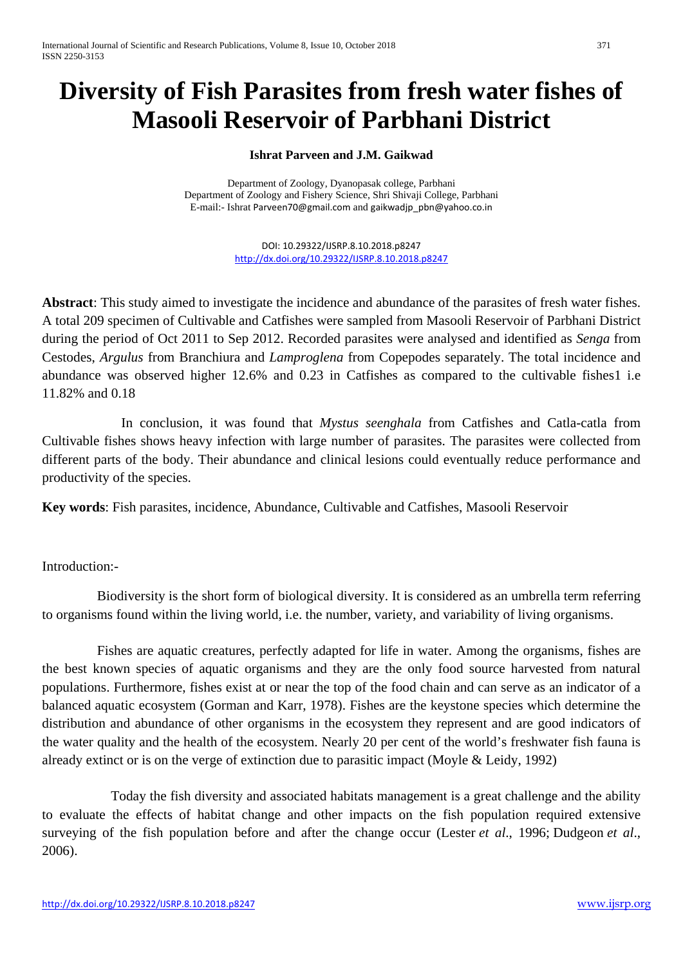# **Diversity of Fish Parasites from fresh water fishes of Masooli Reservoir of Parbhani District**

#### **Ishrat Parveen and J.M. Gaikwad**

Department of Zoology, Dyanopasak college, Parbhani Department of Zoology and Fishery Science, Shri Shivaji College, Parbhani E-mail:- Ishrat [Parveen70@gmail.com](mailto:Parveen70@gmail.com) and [gaikwadjp\\_pbn@yahoo.co.in](mailto:gaikwadjp_pbn@yahoo.co.in)

> DOI: 10.29322/IJSRP.8.10.2018.p8247 <http://dx.doi.org/10.29322/IJSRP.8.10.2018.p8247>

**Abstract**: This study aimed to investigate the incidence and abundance of the parasites of fresh water fishes. A total 209 specimen of Cultivable and Catfishes were sampled from Masooli Reservoir of Parbhani District during the period of Oct 2011 to Sep 2012. Recorded parasites were analysed and identified as *Senga* from Cestodes, *Argulus* from Branchiura and *Lamproglena* from Copepodes separately. The total incidence and abundance was observed higher 12.6% and 0.23 in Catfishes as compared to the cultivable fishes1 i.e 11.82% and 0.18

 In conclusion, it was found that *Mystus seenghala* from Catfishes and Catla-catla from Cultivable fishes shows heavy infection with large number of parasites. The parasites were collected from different parts of the body. Their abundance and clinical lesions could eventually reduce performance and productivity of the species.

**Key words**: Fish parasites, incidence, Abundance, Cultivable and Catfishes, Masooli Reservoir

#### Introduction:-

 Biodiversity is the short form of biological diversity. It is considered as an umbrella term referring to organisms found within the living world, i.e. the number, variety, and variability of living organisms.

 Fishes are aquatic creatures, perfectly adapted for life in water. Among the organisms, fishes are the best known species of aquatic organisms and they are the only food source harvested from natural populations. Furthermore, fishes exist at or near the top of the food chain and can serve as an indicator of a balanced aquatic ecosystem [\(Gorman and Karr, 1978\)](https://scialert.net/fulltext/?doi=jfas.2013.617.626#237774_ja). Fishes are the keystone species which determine the distribution and abundance of other organisms in the ecosystem they represent and are good indicators of the water quality and the health of the ecosystem. Nearly 20 per cent of the world's freshwater fish fauna is already extinct or is on the verge of extinction due to parasitic impact (Moyle & Leidy, 1992)

 Today the fish diversity and associated habitats management is a great challenge and the ability to evaluate the effects of habitat change and other impacts on the fish population required extensive surveying of the fish population before and after the change occur (Lester *et al*[., 1996;](https://scialert.net/fulltext/?doi=jfas.2013.617.626#1124320_ja) [Dudgeon](https://scialert.net/fulltext/?doi=jfas.2013.617.626#545797_ja) *et al*., [2006\)](https://scialert.net/fulltext/?doi=jfas.2013.617.626#545797_ja).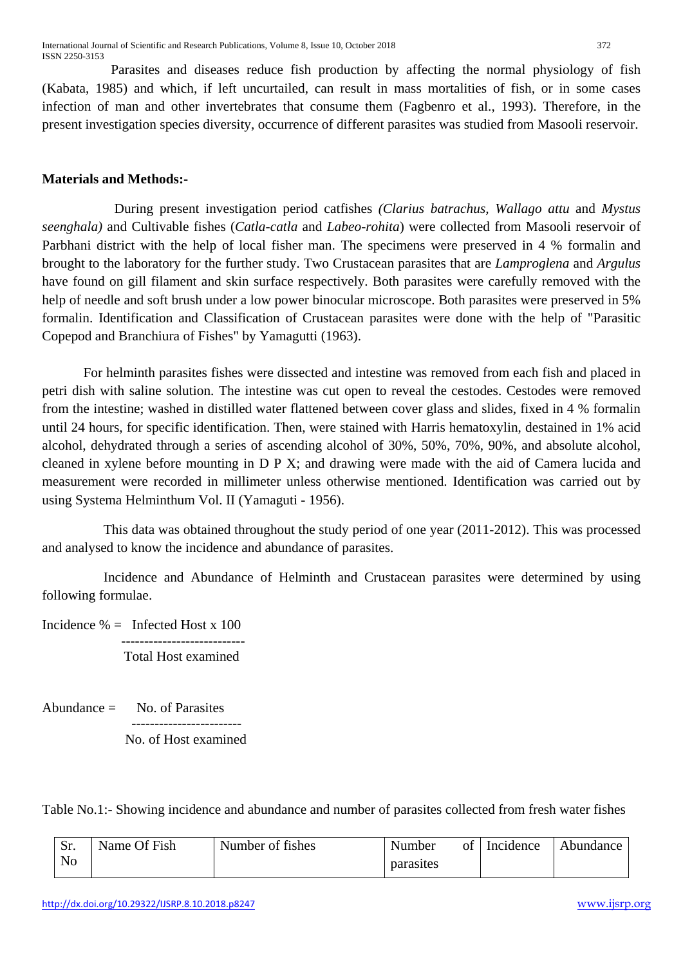Parasites and diseases reduce fish production by affecting the normal physiology of fish (Kabata, 1985) and which, if left uncurtailed, can result in mass mortalities of fish, or in some cases infection of man and other invertebrates that consume them (Fagbenro et al., 1993). Therefore, in the present investigation species diversity, occurrence of different parasites was studied from Masooli reservoir.

## **Materials and Methods:-**

 During present investigation period catfishes *(Clarius batrachus, Wallago attu* and *Mystus seenghala)* and Cultivable fishes (*Catla-catla* and *Labeo-rohita*) were collected from Masooli reservoir of Parbhani district with the help of local fisher man. The specimens were preserved in 4 % formalin and brought to the laboratory for the further study. Two Crustacean parasites that are *Lamproglena* and *Argulus* have found on gill filament and skin surface respectively. Both parasites were carefully removed with the help of needle and soft brush under a low power binocular microscope. Both parasites were preserved in 5% formalin. Identification and Classification of Crustacean parasites were done with the help of "Parasitic Copepod and Branchiura of Fishes" by Yamagutti (1963).

 For helminth parasites fishes were dissected and intestine was removed from each fish and placed in petri dish with saline solution. The intestine was cut open to reveal the cestodes. Cestodes were removed from the intestine; washed in distilled water flattened between cover glass and slides, fixed in 4 % formalin until 24 hours, for specific identification. Then, were stained with Harris hematoxylin, destained in 1% acid alcohol, dehydrated through a series of ascending alcohol of 30%, 50%, 70%, 90%, and absolute alcohol, cleaned in xylene before mounting in D P X; and drawing were made with the aid of Camera lucida and measurement were recorded in millimeter unless otherwise mentioned. Identification was carried out by using Systema Helminthum Vol. II (Yamaguti - 1956).

This data was obtained throughout the study period of one year (2011-2012). This was processed and analysed to know the incidence and abundance of parasites.

Incidence and Abundance of Helminth and Crustacean parasites were determined by using following formulae.

Incidence  $\% =$  Infected Host x 100 ---------------------------

Total Host examined

 $\text{Abundance} = \text{No. of Para sites}$ No. of Host examined

Table No.1:- Showing incidence and abundance and number of parasites collected from fresh water fishes

| Sr.            | Name Of Fish | Number of fishes | Number    | of | Incidence | Abundance |
|----------------|--------------|------------------|-----------|----|-----------|-----------|
| N <sub>o</sub> |              |                  | parasites |    |           |           |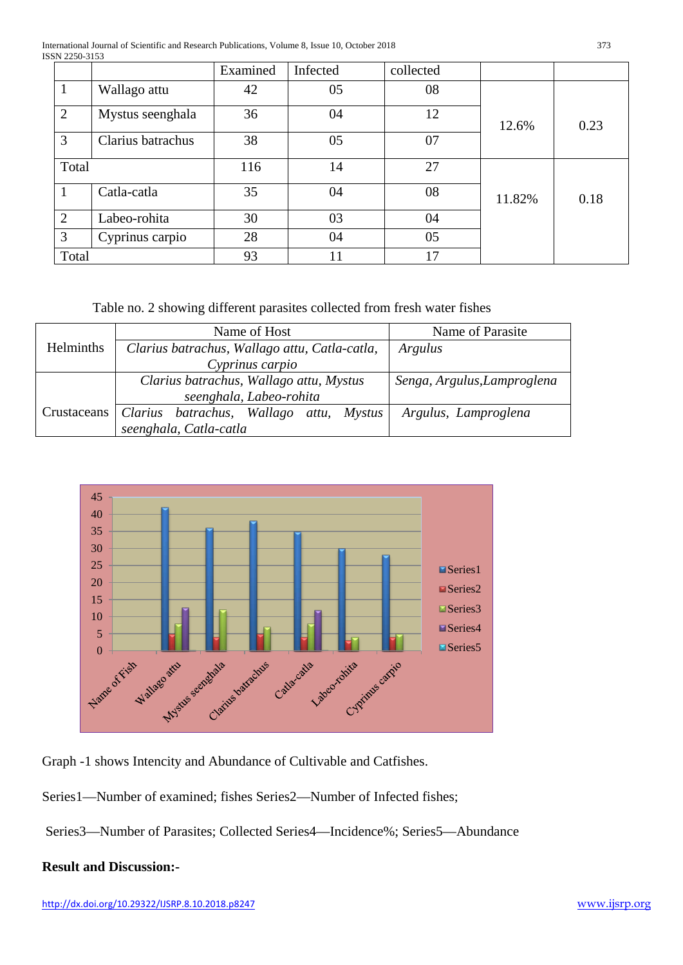International Journal of Scientific and Research Publications, Volume 8, Issue 10, October 2018 373 ISSN 2250-3153

|       |                   | Examined | Infected | collected |        |      |
|-------|-------------------|----------|----------|-----------|--------|------|
|       | Wallago attu      | 42       | 05       | 08        |        |      |
| 2     | Mystus seenghala  | 36       | 04       | 12        | 12.6%  | 0.23 |
| 3     | Clarius batrachus | 38       | 05       | 07        |        |      |
| Total |                   | 116      | 14       | 27        |        |      |
|       | Catla-catla       | 35       | 04       | 08        | 11.82% | 0.18 |
| 2     | Labeo-rohita      | 30       | 03       | 04        |        |      |
| 3     | Cyprinus carpio   | 28       | 04       | 05        |        |      |
| Total |                   | 93       | 11       | 17        |        |      |

Table no. 2 showing different parasites collected from fresh water fishes

|                  | Name of Host                                  | Name of Parasite            |  |
|------------------|-----------------------------------------------|-----------------------------|--|
| <b>Helminths</b> | Clarius batrachus, Wallago attu, Catla-catla, | Argulus                     |  |
|                  | Cyprinus carpio                               |                             |  |
|                  | Clarius batrachus, Wallago attu, Mystus       | Senga, Argulus, Lamproglena |  |
|                  | seenghala, Labeo-rohita                       |                             |  |
| Crustaceans      | Clarius batrachus, Wallago attu, Mystus       | Argulus, Lamproglena        |  |
|                  | seenghala, Catla-catla                        |                             |  |



Graph -1 shows Intencity and Abundance of Cultivable and Catfishes.

Series1—Number of examined; fishes Series2—Number of Infected fishes;

Series3—Number of Parasites; Collected Series4—Incidence%; Series5—Abundance

## **Result and Discussion:-**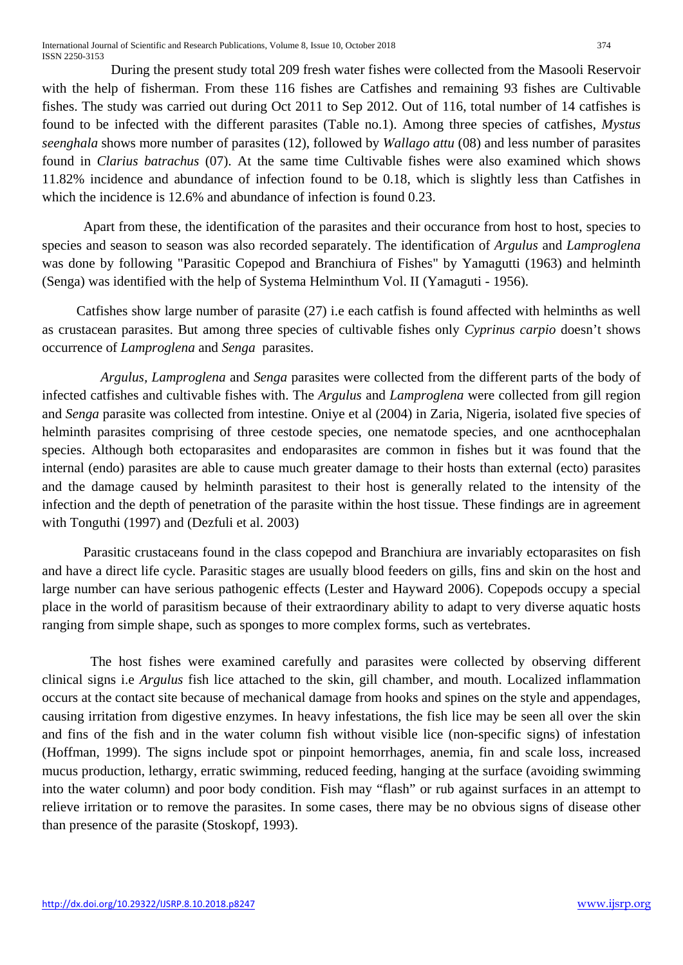During the present study total 209 fresh water fishes were collected from the Masooli Reservoir with the help of fisherman. From these 116 fishes are Catfishes and remaining 93 fishes are Cultivable fishes. The study was carried out during Oct 2011 to Sep 2012. Out of 116, total number of 14 catfishes is found to be infected with the different parasites (Table no.1). Among three species of catfishes, *Mystus seenghala* shows more number of parasites (12), followed by *Wallago attu* (08) and less number of parasites found in *Clarius batrachus* (07). At the same time Cultivable fishes were also examined which shows 11.82% incidence and abundance of infection found to be 0.18, which is slightly less than Catfishes in which the incidence is 12.6% and abundance of infection is found 0.23.

 Apart from these, the identification of the parasites and their occurance from host to host, species to species and season to season was also recorded separately. The identification of *Argulus* and *Lamproglena* was done by following "Parasitic Copepod and Branchiura of Fishes" by Yamagutti (1963) and helminth (Senga) was identified with the help of Systema Helminthum Vol. II (Yamaguti - 1956).

 Catfishes show large number of parasite (27) i.e each catfish is found affected with helminths as well as crustacean parasites. But among three species of cultivable fishes only *Cyprinus carpio* doesn't shows occurrence of *Lamproglena* and *Senga* parasites.

 *Argulus, Lamproglena* and *Senga* parasites were collected from the different parts of the body of infected catfishes and cultivable fishes with. The *Argulus* and *Lamproglena* were collected from gill region and *Senga* parasite was collected from intestine. Oniye et al (2004) in Zaria, Nigeria, isolated five species of helminth parasites comprising of three cestode species, one nematode species, and one acnthocephalan species. Although both ectoparasites and endoparasites are common in fishes but it was found that the internal (endo) parasites are able to cause much greater damage to their hosts than external (ecto) parasites and the damage caused by helminth parasitest to their host is generally related to the intensity of the infection and the depth of penetration of the parasite within the host tissue. These findings are in agreement with Tonguthi (1997) and (Dezfuli et al. 2003)

 Parasitic crustaceans found in the class copepod and Branchiura are invariably ectoparasites on fish and have a direct life cycle. Parasitic stages are usually blood feeders on gills, fins and skin on the host and large number can have serious pathogenic effects (Lester and Hayward 2006). Copepods occupy a special place in the world of parasitism because of their extraordinary ability to adapt to very diverse aquatic hosts ranging from simple shape, such as sponges to more complex forms, such as vertebrates.

 The host fishes were examined carefully and parasites were collected by observing different clinical signs i.e *Argulus* fish lice attached to the skin, gill chamber, and mouth. Localized inflammation occurs at the contact site because of mechanical damage from hooks and spines on the style and appendages, causing irritation from digestive enzymes. In heavy infestations, the fish lice may be seen all over the skin and fins of the fish and in the water column fish without visible lice (non-specific signs) of infestation (Hoffman, 1999). The signs include spot or pinpoint hemorrhages, anemia, fin and scale loss, increased mucus production, lethargy, erratic swimming, reduced feeding, hanging at the surface (avoiding swimming into the water column) and poor body condition. Fish may "flash" or rub against surfaces in an attempt to relieve irritation or to remove the parasites. In some cases, there may be no obvious signs of disease other than presence of the parasite (Stoskopf, 1993).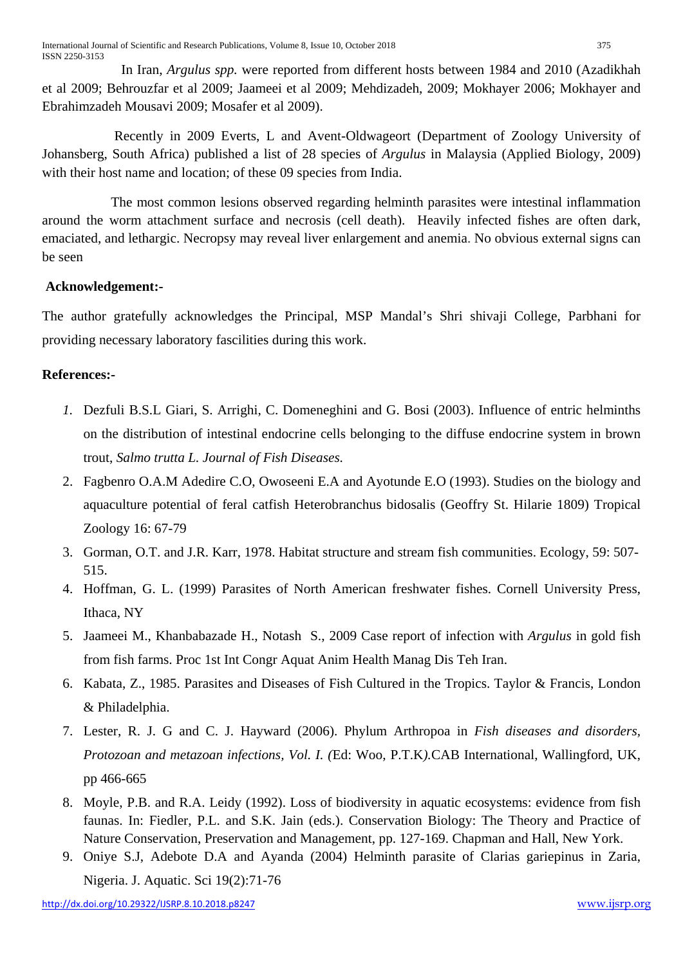In Iran, *Argulus spp.* were reported from different hosts between 1984 and 2010 (Azadikhah et al 2009; Behrouzfar et al 2009; Jaameei et al 2009; Mehdizadeh, 2009; Mokhayer 2006; Mokhayer and Ebrahimzadeh Mousavi 2009; Mosafer et al 2009).

 Recently in 2009 Everts, L and Avent-Oldwageort (Department of Zoology University of Johansberg, South Africa) published a list of 28 species of *Argulus* in Malaysia (Applied Biology, 2009) with their host name and location; of these 09 species from India.

 The most common lesions observed regarding helminth parasites were intestinal inflammation around the worm attachment surface and necrosis (cell death). Heavily infected fishes are often dark, emaciated, and lethargic. Necropsy may reveal liver enlargement and anemia. No obvious external signs can be seen

## **Acknowledgement:-**

The author gratefully acknowledges the Principal, MSP Mandal's Shri shivaji College, Parbhani for providing necessary laboratory fascilities during this work.

## **References:-**

- *1.* Dezfuli B.S.L Giari, S. Arrighi, C. Domeneghini and G. Bosi (2003). Influence of entric helminths on the distribution of intestinal endocrine cells belonging to the diffuse endocrine system in brown trout, *Salmo trutta L. Journal of Fish Diseases.*
- 2. Fagbenro O.A.M Adedire C.O, Owoseeni E.A and Ayotunde E.O (1993). Studies on the biology and aquaculture potential of feral catfish Heterobranchus bidosalis (Geoffry St. Hilarie 1809) Tropical Zoology 16: 67-79
- 3. Gorman, O.T. and J.R. Karr, 1978. Habitat structure and stream fish communities. Ecology, 59: 507- 515.
- 4. Hoffman, G. L. (1999) Parasites of North American freshwater fishes. Cornell University Press, Ithaca, NY
- 5. Jaameei M., Khanbabazade H., Notash S., 2009 Case report of infection with *Argulus* in gold fish from fish farms. Proc 1st Int Congr Aquat Anim Health Manag Dis Teh Iran.
- 6. Kabata, Z., 1985. Parasites and Diseases of Fish Cultured in the Tropics. Taylor & Francis, London & Philadelphia.
- 7. Lester, R. J. G and C. J. Hayward (2006). Phylum Arthropoa in *Fish diseases and disorders, Protozoan and metazoan infections, Vol. I. (*Ed: Woo, P.T.K*).*CAB International, Wallingford, UK, pp 466-665
- 8. Moyle, P.B. and R.A. Leidy (1992). Loss of biodiversity in aquatic ecosystems: evidence from fish faunas. In: Fiedler, P.L. and S.K. Jain (eds.). Conservation Biology: The Theory and Practice of Nature Conservation, Preservation and Management, pp. 127-169. Chapman and Hall, New York.
- 9. Oniye S.J, Adebote D.A and Ayanda (2004) Helminth parasite of Clarias gariepinus in Zaria, Nigeria. J. Aquatic. Sci 19(2):71-76